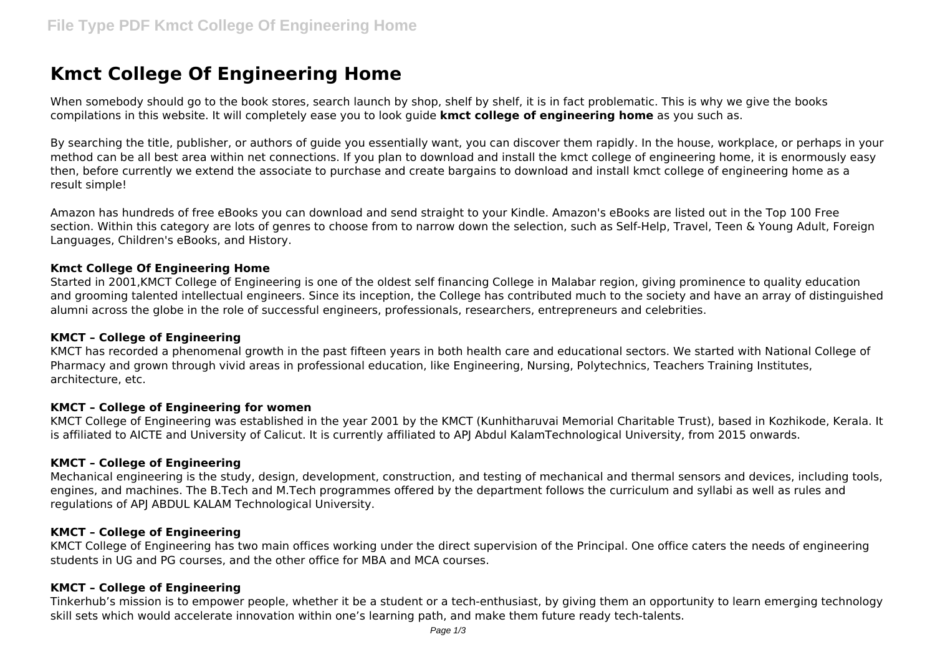# **Kmct College Of Engineering Home**

When somebody should go to the book stores, search launch by shop, shelf by shelf, it is in fact problematic. This is why we give the books compilations in this website. It will completely ease you to look guide **kmct college of engineering home** as you such as.

By searching the title, publisher, or authors of guide you essentially want, you can discover them rapidly. In the house, workplace, or perhaps in your method can be all best area within net connections. If you plan to download and install the kmct college of engineering home, it is enormously easy then, before currently we extend the associate to purchase and create bargains to download and install kmct college of engineering home as a result simple!

Amazon has hundreds of free eBooks you can download and send straight to your Kindle. Amazon's eBooks are listed out in the Top 100 Free section. Within this category are lots of genres to choose from to narrow down the selection, such as Self-Help, Travel, Teen & Young Adult, Foreign Languages, Children's eBooks, and History.

## **Kmct College Of Engineering Home**

Started in 2001,KMCT College of Engineering is one of the oldest self financing College in Malabar region, giving prominence to quality education and grooming talented intellectual engineers. Since its inception, the College has contributed much to the society and have an array of distinguished alumni across the globe in the role of successful engineers, professionals, researchers, entrepreneurs and celebrities.

## **KMCT – College of Engineering**

KMCT has recorded a phenomenal growth in the past fifteen years in both health care and educational sectors. We started with National College of Pharmacy and grown through vivid areas in professional education, like Engineering, Nursing, Polytechnics, Teachers Training Institutes, architecture, etc.

## **KMCT – College of Engineering for women**

KMCT College of Engineering was established in the year 2001 by the KMCT (Kunhitharuvai Memorial Charitable Trust), based in Kozhikode, Kerala. It is affiliated to AICTE and University of Calicut. It is currently affiliated to APJ Abdul KalamTechnological University, from 2015 onwards.

## **KMCT – College of Engineering**

Mechanical engineering is the study, design, development, construction, and testing of mechanical and thermal sensors and devices, including tools, engines, and machines. The B.Tech and M.Tech programmes offered by the department follows the curriculum and syllabi as well as rules and regulations of APJ ABDUL KALAM Technological University.

## **KMCT – College of Engineering**

KMCT College of Engineering has two main offices working under the direct supervision of the Principal. One office caters the needs of engineering students in UG and PG courses, and the other office for MBA and MCA courses.

## **KMCT – College of Engineering**

Tinkerhub's mission is to empower people, whether it be a student or a tech-enthusiast, by giving them an opportunity to learn emerging technology skill sets which would accelerate innovation within one's learning path, and make them future ready tech-talents.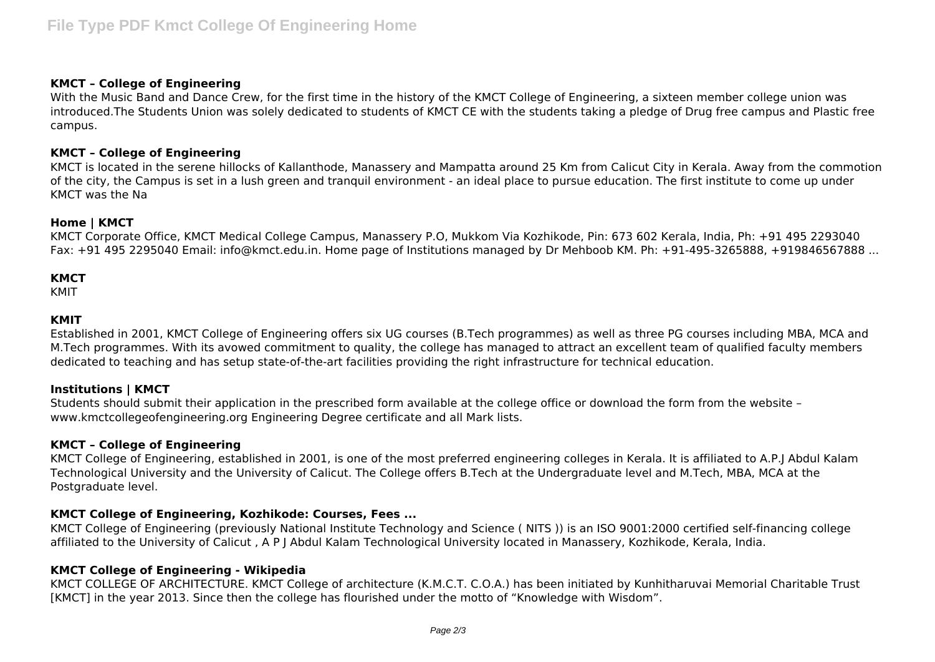## **KMCT – College of Engineering**

With the Music Band and Dance Crew, for the first time in the history of the KMCT College of Engineering, a sixteen member college union was introduced.The Students Union was solely dedicated to students of KMCT CE with the students taking a pledge of Drug free campus and Plastic free campus.

## **KMCT – College of Engineering**

KMCT is located in the serene hillocks of Kallanthode, Manassery and Mampatta around 25 Km from Calicut City in Kerala. Away from the commotion of the city, the Campus is set in a lush green and tranquil environment - an ideal place to pursue education. The first institute to come up under KMCT was the Na

## **Home | KMCT**

KMCT Corporate Office, KMCT Medical College Campus, Manassery P.O, Mukkom Via Kozhikode, Pin: 673 602 Kerala, India, Ph: +91 495 2293040 Fax: +91 495 2295040 Email: info@kmct.edu.in. Home page of Institutions managed by Dr Mehboob KM. Ph: +91-495-3265888, +919846567888 ...

# **KMCT**

KMIT

# **KMIT**

Established in 2001, KMCT College of Engineering offers six UG courses (B.Tech programmes) as well as three PG courses including MBA, MCA and M.Tech programmes. With its avowed commitment to quality, the college has managed to attract an excellent team of qualified faculty members dedicated to teaching and has setup state-of-the-art facilities providing the right infrastructure for technical education.

# **Institutions | KMCT**

Students should submit their application in the prescribed form available at the college office or download the form from the website – www.kmctcollegeofengineering.org Engineering Degree certificate and all Mark lists.

## **KMCT – College of Engineering**

KMCT College of Engineering, established in 2001, is one of the most preferred engineering colleges in Kerala. It is affiliated to A.P.J Abdul Kalam Technological University and the University of Calicut. The College offers B.Tech at the Undergraduate level and M.Tech, MBA, MCA at the Postgraduate level.

# **KMCT College of Engineering, Kozhikode: Courses, Fees ...**

KMCT College of Engineering (previously National Institute Technology and Science ( NITS )) is an ISO 9001:2000 certified self-financing college affiliated to the University of Calicut , A P J Abdul Kalam Technological University located in Manassery, Kozhikode, Kerala, India.

## **KMCT College of Engineering - Wikipedia**

KMCT COLLEGE OF ARCHITECTURE. KMCT College of architecture (K.M.C.T. C.O.A.) has been initiated by Kunhitharuvai Memorial Charitable Trust [KMCT] in the year 2013. Since then the college has flourished under the motto of "Knowledge with Wisdom".